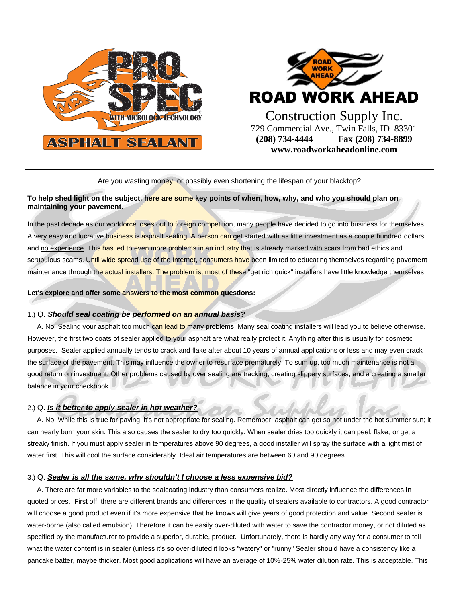



Are you wasting money, or possibly even shortening the lifespan of your blacktop?

# **To help shed light on the subject, here are some key points of when, how, why, and who you should plan on maintaining your pavement.**

In the past decade as our workforce loses out to foreign competition, many people have decided to go into business for themselves. A very easy and lucrative business is asphalt sealing. A person can get started with as little investment as a couple hundred dollars and no experience. This has led to even more problems in an industry that is already marked with scars from bad ethics and scrupulous scams. Until wide spread use of the Internet, consumers have been limited to educating themselves regarding pavement maintenance through the actual installers. The problem is, most of these "get rich quick" installers have little knowledge themselves.

**Let's explore and offer some answers to the most common questions:** 

## 1.) Q. *Should seal coating be performed on an annual basis?*

A. No. Sealing your asphalt too much can lead to many problems. Many seal coating installers will lead you to believe otherwise. However, the first two coats of sealer applied to your asphalt are what really protect it. Anything after this is usually for cosmetic purposes. Sealer applied annually tends to crack and flake after about 10 years of annual applications or less and may even crack the surface of the pavement. This may influence the owner to resurface prematurely. To sum up, too much maintenance is not a good return on investment. Other problems caused by over sealing are tracking, creating slippery surfaces, and a creating a smaller balance in your checkbook.

# 2.) Q. *Is it better to apply sealer in hot weather?*

 A. No. While this is true for paving, it's not appropriate for sealing. Remember, asphalt can get so hot under the hot summer sun; it can nearly burn your skin. This also causes the sealer to dry too quickly. When sealer dries too quickly it can peel, flake, or get a streaky finish. If you must apply sealer in temperatures above 90 degrees, a good installer will spray the surface with a light mist of water first. This will cool the surface considerably. Ideal air temperatures are between 60 and 90 degrees.

## 3.) Q. *Sealer is all the same, why shouldn't I choose a less expensive bid?*

 A. There are far more variables to the sealcoating industry than consumers realize. Most directly influence the differences in quoted prices. First off, there are different brands and differences in the quality of sealers available to contractors. A good contractor will choose a good product even if it's more expensive that he knows will give years of good protection and value. Second sealer is water-borne (also called emulsion). Therefore it can be easily over-diluted with water to save the contractor money, or not diluted as specified by the manufacturer to provide a superior, durable, product. Unfortunately, there is hardly any way for a consumer to tell what the water content is in sealer (unless it's so over-diluted it looks "watery" or "runny" Sealer should have a consistency like a pancake batter, maybe thicker. Most good applications will have an average of 10%-25% water dilution rate. This is acceptable. This